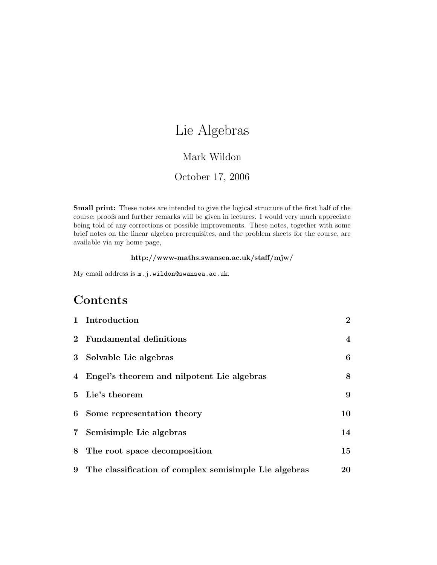# Lie Algebras

## Mark Wildon

## October 17, 2006

Small print: These notes are intended to give the logical structure of the first half of the course; proofs and further remarks will be given in lectures. I would very much appreciate being told of any corrections or possible improvements. These notes, together with some brief notes on the linear algebra prerequisites, and the problem sheets for the course, are available via my home page,

#### http://www-maths.swansea.ac.uk/staff/mjw/

My email address is m.j.wildon@swansea.ac.uk.

# Contents

|       | 1 Introduction                                        | $\bf{2}$ |
|-------|-------------------------------------------------------|----------|
|       | 2 Fundamental definitions                             | 4        |
| 3     | Solvable Lie algebras                                 | 6        |
|       | 4 Engel's theorem and nilpotent Lie algebras          | 8        |
|       | 5 Lie's theorem                                       | 9        |
|       | 6 Some representation theory                          | 10       |
| $7\,$ | Semisimple Lie algebras                               | 14       |
|       | 8 The root space decomposition                        | 15       |
| 9     | The classification of complex semisimple Lie algebras | 20       |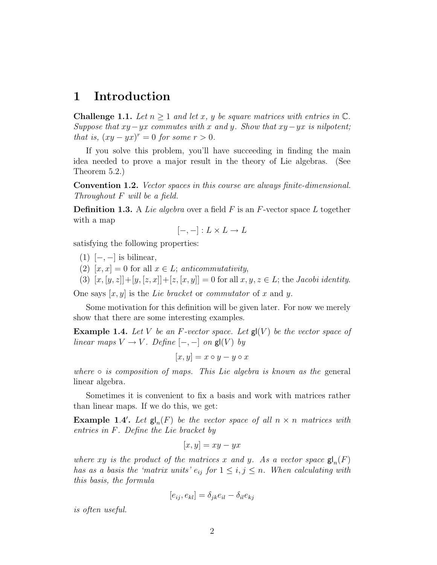## 1 Introduction

**Challenge 1.1.** Let  $n \geq 1$  and let x, y be square matrices with entries in  $\mathbb{C}$ . Suppose that  $xy - yx$  commutes with x and y. Show that  $xy - yx$  is nilpotent; that is,  $(xy - yx)^r = 0$  for some  $r > 0$ .

If you solve this problem, you'll have succeeding in finding the main idea needed to prove a major result in the theory of Lie algebras. (See Theorem 5.2.)

Convention 1.2. Vector spaces in this course are always finite-dimensional. Throughout F will be a field.

**Definition 1.3.** A Lie algebra over a field F is an F-vector space L together with a map

$$
[-,-]: L \times L \to L
$$

satisfying the following properties:

- $(1)$  [−, −] is bilinear,
- (2)  $[x, x] = 0$  for all  $x \in L$ ; anticommutativity,
- (3)  $[x, [y, z]] + [y, [z, x]] + [z, [x, y]] = 0$  for all  $x, y, z \in L$ ; the *Jacobi identity*.

One says  $[x, y]$  is the Lie bracket or commutator of x and y.

Some motivation for this definition will be given later. For now we merely show that there are some interesting examples.

**Example 1.4.** Let V be an F-vector space. Let  $\mathbf{g} | (V)$  be the vector space of linear maps  $V \to V$ . Define  $[-,-]$  on  $\mathsf{gl}(V)$  by

$$
[x,y]=x\circ y-y\circ x
$$

where  $\circ$  is composition of maps. This Lie algebra is known as the general linear algebra.

Sometimes it is convenient to fix a basis and work with matrices rather than linear maps. If we do this, we get:

**Example 1.4'.** Let  $\mathsf{gl}_n(F)$  be the vector space of all  $n \times n$  matrices with entries in F. Define the Lie bracket by

$$
[x, y] = xy - yx
$$

where xy is the product of the matrices x and y. As a vector space  $\mathsf{gl}_n(F)$ has as a basis the 'matrix units'  $e_{ij}$  for  $1 \leq i, j \leq n$ . When calculating with this basis, the formula

$$
[e_{ij}, e_{kl}] = \delta_{jk} e_{il} - \delta_{il} e_{kj}
$$

is often useful.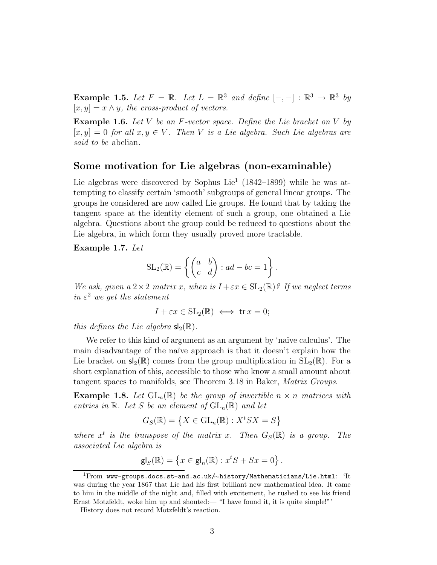**Example 1.5.** Let  $F = \mathbb{R}$ . Let  $L = \mathbb{R}^3$  and define  $[-,-] : \mathbb{R}^3 \to \mathbb{R}^3$  by  $[x, y] = x \wedge y$ , the cross-product of vectors.

**Example 1.6.** Let V be an F-vector space. Define the Lie bracket on V by  $[x, y] = 0$  for all  $x, y \in V$ . Then V is a Lie algebra. Such Lie algebras are said to be abelian.

#### Some motivation for Lie algebras (non-examinable)

Lie algebras were discovered by Sophus Lie<sup>1</sup> (1842–1899) while he was attempting to classify certain 'smooth' subgroups of general linear groups. The groups he considered are now called Lie groups. He found that by taking the tangent space at the identity element of such a group, one obtained a Lie algebra. Questions about the group could be reduced to questions about the Lie algebra, in which form they usually proved more tractable.

Example 1.7. Let

$$
SL_2(\mathbb{R}) = \left\{ \begin{pmatrix} a & b \\ c & d \end{pmatrix} : ad - bc = 1 \right\}.
$$

We ask, given a  $2 \times 2$  matrix x, when is  $I + \varepsilon x \in SL_2(\mathbb{R})$ ? If we neglect terms in  $\varepsilon^2$  we get the statement

 $I + \varepsilon x \in SL_2(\mathbb{R}) \iff \text{tr } x = 0;$ 

this defines the Lie algebra  $\mathsf{sl}_2(\mathbb{R})$ .

We refer to this kind of argument as an argument by 'naïve calculus'. The main disadvantage of the naïve approach is that it doesn't explain how the Lie bracket on  $\mathsf{sl}_2(\mathbb{R})$  comes from the group multiplication in  $SL_2(\mathbb{R})$ . For a short explanation of this, accessible to those who know a small amount about tangent spaces to manifolds, see Theorem 3.18 in Baker, Matrix Groups.

**Example 1.8.** Let  $GL_n(\mathbb{R})$  be the group of invertible  $n \times n$  matrices with entries in  $\mathbb R$ . Let S be an element of  $\text{GL}_n(\mathbb R)$  and let

$$
G_S(\mathbb{R}) = \left\{ X \in \mathrm{GL}_n(\mathbb{R}) : X^t S X = S \right\}
$$

where  $x^t$  is the transpose of the matrix x. Then  $G_S(\mathbb{R})$  is a group. The associated Lie algebra is

$$
\mathsf{gl}_S(\mathbb{R}) = \left\{ x \in \mathsf{gl}_n(\mathbb{R}) : x^t S + S x = 0 \right\}.
$$

<sup>1</sup>From www-groups.docs.st-and.ac.uk/∼history/Mathematicians/Lie.html: 'It was during the year 1867 that Lie had his first brilliant new mathematical idea. It came to him in the middle of the night and, filled with excitement, he rushed to see his friend Ernst Motzfeldt, woke him up and shouted:— "I have found it, it is quite simple!"'

History does not record Motzfeldt's reaction.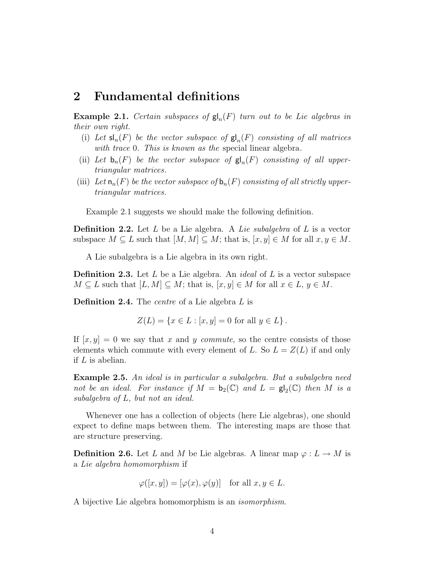## 2 Fundamental definitions

**Example 2.1.** Certain subspaces of  $\mathsf{gl}_n(F)$  turn out to be Lie algebras in their own right.

- (i) Let  $\mathsf{sl}_n(F)$  be the vector subspace of  $\mathsf{gl}_n(F)$  consisting of all matrices with trace 0. This is known as the special linear algebra.
- (ii) Let  $\mathbf{b}_n(F)$  be the vector subspace of  $\mathbf{g} \vert_n(F)$  consisting of all uppertriangular matrices.
- (iii) Let  $\mathsf{n}_n(F)$  be the vector subspace of  $\mathsf{b}_n(F)$  consisting of all strictly uppertriangular matrices.

Example 2.1 suggests we should make the following definition.

**Definition 2.2.** Let L be a Lie algebra. A Lie subalgebra of L is a vector subspace  $M \subseteq L$  such that  $[M, M] \subseteq M$ ; that is,  $[x, y] \in M$  for all  $x, y \in M$ .

A Lie subalgebra is a Lie algebra in its own right.

**Definition 2.3.** Let L be a Lie algebra. An *ideal* of L is a vector subspace  $M \subseteq L$  such that  $[L, M] \subseteq M$ ; that is,  $[x, y] \in M$  for all  $x \in L$ ,  $y \in M$ .

Definition 2.4. The *centre* of a Lie algebra L is

$$
Z(L) = \{ x \in L : [x, y] = 0 \text{ for all } y \in L \}.
$$

If  $[x, y] = 0$  we say that x and y commute, so the centre consists of those elements which commute with every element of L. So  $L = Z(L)$  if and only if L is abelian.

Example 2.5. An ideal is in particular a subalgebra. But a subalgebra need not be an ideal. For instance if  $M = b_2(\mathbb{C})$  and  $L = \mathsf{gl}_2(\mathbb{C})$  then M is a subalgebra of L, but not an ideal.

Whenever one has a collection of objects (here Lie algebras), one should expect to define maps between them. The interesting maps are those that are structure preserving.

**Definition 2.6.** Let L and M be Lie algebras. A linear map  $\varphi: L \to M$  is a Lie algebra homomorphism if

$$
\varphi([x, y]) = [\varphi(x), \varphi(y)] \text{ for all } x, y \in L.
$$

A bijective Lie algebra homomorphism is an isomorphism.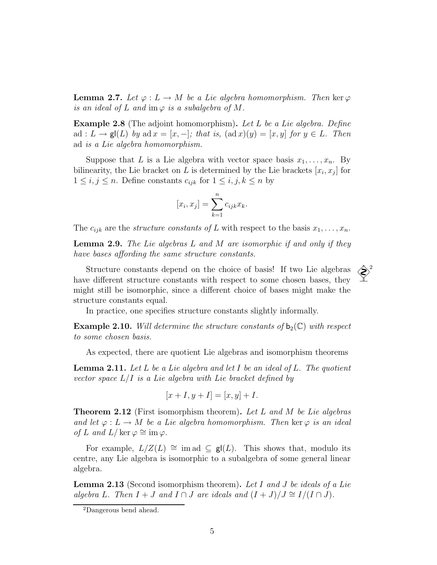**Lemma 2.7.** Let  $\varphi: L \to M$  be a Lie algebra homomorphism. Then ker  $\varphi$ is an ideal of L and im  $\varphi$  is a subalgebra of M.

Example 2.8 (The adjoint homomorphism). Let L be a Lie algebra. Define ad :  $L \to \mathsf{gl}(L)$  by ad  $x = [x, -]$ ; that is,  $(\text{ad } x)(y) = [x, y]$  for  $y \in L$ . Then ad is a Lie algebra homomorphism.

Suppose that L is a Lie algebra with vector space basis  $x_1, \ldots, x_n$ . By bilinearity, the Lie bracket on L is determined by the Lie brackets  $[x_i, x_j]$  for  $1 \leq i, j \leq n$ . Define constants  $c_{ijk}$  for  $1 \leq i, j, k \leq n$  by

$$
[x_i, x_j] = \sum_{k=1}^n c_{ijk} x_k.
$$

The  $c_{ijk}$  are the *structure constants of L* with respect to the basis  $x_1, \ldots, x_n$ .

**Lemma 2.9.** The Lie algebras  $L$  and  $M$  are isomorphic if and only if they have bases affording the same structure constants.

Structure constants depend on the choice of basis! If two Lie algebras <sup>2</sup> have different structure constants with respect to some chosen bases, they might still be isomorphic, since a different choice of bases might make the structure constants equal.

In practice, one specifies structure constants slightly informally.

**Example 2.10.** Will determine the structure constants of  $b_2(\mathbb{C})$  with respect to some chosen basis.

As expected, there are quotient Lie algebras and isomorphism theorems

**Lemma 2.11.** Let L be a Lie algebra and let I be an ideal of L. The quotient vector space  $L/I$  is a Lie algebra with Lie bracket defined by

$$
[x+I, y+I] = [x, y] + I.
$$

**Theorem 2.12** (First isomorphism theorem). Let L and M be Lie algebras and let  $\varphi: L \to M$  be a Lie algebra homomorphism. Then ker  $\varphi$  is an ideal of L and L/ ker  $\varphi \cong \text{im } \varphi$ .

For example,  $L/Z(L) \cong \text{im} \text{ ad } \subseteq \textbf{gl}(L)$ . This shows that, modulo its centre, any Lie algebra is isomorphic to a subalgebra of some general linear algebra.

**Lemma 2.13** (Second isomorphism theorem). Let I and J be ideals of a Lie algebra L. Then  $I + J$  and  $I \cap J$  are ideals and  $(I + J)/J \cong I/(I \cap J)$ .

<sup>2</sup>Dangerous bend ahead.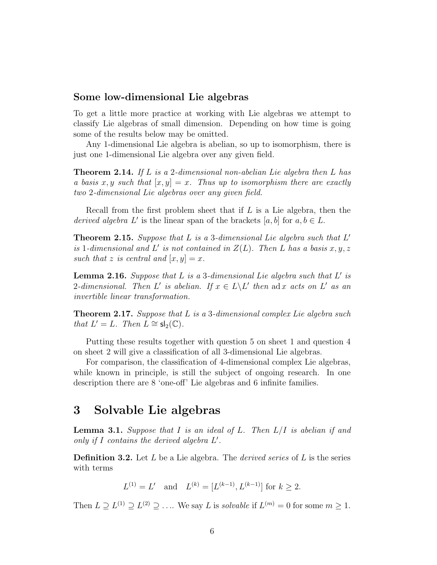#### Some low-dimensional Lie algebras

To get a little more practice at working with Lie algebras we attempt to classify Lie algebras of small dimension. Depending on how time is going some of the results below may be omitted.

Any 1-dimensional Lie algebra is abelian, so up to isomorphism, there is just one 1-dimensional Lie algebra over any given field.

Theorem 2.14. If L is a 2-dimensional non-abelian Lie algebra then L has a basis x, y such that  $[x, y] = x$ . Thus up to isomorphism there are exactly two 2-dimensional Lie algebras over any given field.

Recall from the first problem sheet that if  $L$  is a Lie algebra, then the derived algebra L' is the linear span of the brackets  $[a, b]$  for  $a, b \in L$ .

**Theorem 2.15.** Suppose that  $L$  is a 3-dimensional Lie algebra such that  $L'$ is 1-dimensional and L' is not contained in  $Z(L)$ . Then L has a basis  $x, y, z$ such that z is central and  $[x, y] = x$ .

**Lemma 2.16.** Suppose that  $L$  is a 3-dimensional Lie algebra such that  $L'$  is 2-dimensional. Then L' is abelian. If  $x \in L \backslash L'$  then ad x acts on L' as an invertible linear transformation.

Theorem 2.17. Suppose that L is a 3-dimensional complex Lie algebra such that  $L' = L$ . Then  $L \cong sl_2(\mathbb{C})$ .

Putting these results together with question 5 on sheet 1 and question 4 on sheet 2 will give a classification of all 3-dimensional Lie algebras.

For comparison, the classification of 4-dimensional complex Lie algebras, while known in principle, is still the subject of ongoing research. In one description there are 8 'one-off' Lie algebras and 6 infinite families.

## 3 Solvable Lie algebras

**Lemma 3.1.** Suppose that I is an ideal of L. Then  $L/I$  is abelian if and only if  $I$  contains the derived algebra  $L'$ .

**Definition 3.2.** Let L be a Lie algebra. The *derived series* of L is the series with terms

$$
L^{(1)} = L'
$$
 and  $L^{(k)} = [L^{(k-1)}, L^{(k-1)}]$  for  $k \ge 2$ .

Then  $L \supseteq L^{(1)} \supseteq L^{(2)} \supseteq \ldots$  We say L is *solvable* if  $L^{(m)} = 0$  for some  $m \ge 1$ .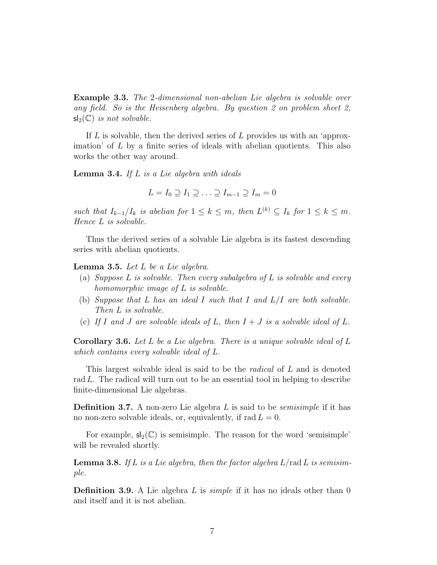Example 3.3. The 2-dimensional non-abelian Lie algebra is solvable over any field. So is the Heisenberg algebra. By question 2 on problem sheet 2,  $sl_2(\mathbb{C})$  is not solvable.

If  $L$  is solvable, then the derived series of  $L$  provides us with an 'approximation' of  $L$  by a finite series of ideals with abelian quotients. This also works the other way around.

**Lemma 3.4.** If  $L$  is a Lie algebra with ideals

$$
L = I_0 \supseteq I_1 \supseteq \ldots \supseteq I_{m-1} \supseteq I_m = 0
$$

such that  $I_{k-1}/I_k$  is abelian for  $1 \leq k \leq m$ , then  $L^{(k)} \subseteq I_k$  for  $1 \leq k \leq m$ . Hence L is solvable.

Thus the derived series of a solvable Lie algebra is its fastest descending series with abelian quotients.

**Lemma 3.5.** Let  $L$  be a Lie algebra.

- (a) Suppose  $L$  is solvable. Then every subalgebra of  $L$  is solvable and every homomorphic image of L is solvable.
- (b) Suppose that L has an ideal I such that I and  $L/I$  are both solvable. Then L is solvable.
- (c) If I and J are solvable ideals of L, then  $I + J$  is a solvable ideal of L.

**Corollary 3.6.** Let L be a Lie algebra. There is a unique solvable ideal of L which contains every solvable ideal of L.

This largest solvable ideal is said to be the *radical* of L and is denoted rad L. The radical will turn out to be an essential tool in helping to describe finite-dimensional Lie algebras.

**Definition 3.7.** A non-zero Lie algebra  $L$  is said to be *semisimple* if it has no non-zero solvable ideals, or, equivalently, if  $rad L = 0$ .

For example,  $sl_2(\mathbb{C})$  is semisimple. The reason for the word 'semisimple' will be revealed shortly.

**Lemma 3.8.** If L is a Lie algebra, then the factor algebra  $L$ /rad L is semisimple.

**Definition 3.9.** A Lie algebra L is *simple* if it has no ideals other than 0 and itself and it is not abelian.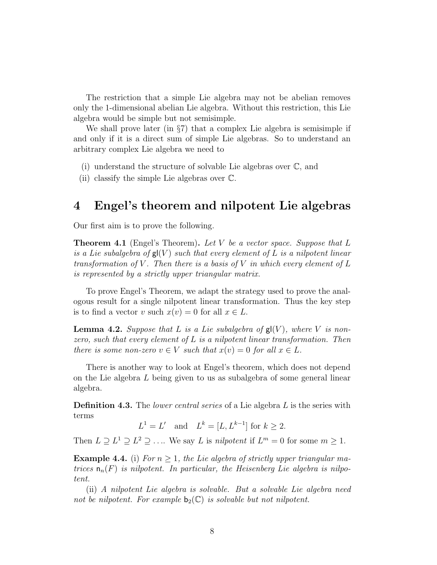The restriction that a simple Lie algebra may not be abelian removes only the 1-dimensional abelian Lie algebra. Without this restriction, this Lie algebra would be simple but not semisimple.

We shall prove later (in §7) that a complex Lie algebra is semisimple if and only if it is a direct sum of simple Lie algebras. So to understand an arbitrary complex Lie algebra we need to

(i) understand the structure of solvable Lie algebras over C, and

(ii) classify the simple Lie algebras over C.

## 4 Engel's theorem and nilpotent Lie algebras

Our first aim is to prove the following.

**Theorem 4.1** (Engel's Theorem). Let V be a vector space. Suppose that  $L$ is a Lie subalgebra of  $\mathsf{gl}(V)$  such that every element of L is a nilpotent linear transformation of V. Then there is a basis of V in which every element of L is represented by a strictly upper triangular matrix.

To prove Engel's Theorem, we adapt the strategy used to prove the analogous result for a single nilpotent linear transformation. Thus the key step is to find a vector v such  $x(v) = 0$  for all  $x \in L$ .

**Lemma 4.2.** Suppose that L is a Lie subalgebra of  $g(V)$ , where V is nonzero, such that every element of  $L$  is a nilpotent linear transformation. Then there is some non-zero  $v \in V$  such that  $x(v) = 0$  for all  $x \in L$ .

There is another way to look at Engel's theorem, which does not depend on the Lie algebra L being given to us as subalgebra of some general linear algebra.

**Definition 4.3.** The *lower central series* of a Lie algebra L is the series with terms

$$
L^1 = L' \quad \text{and} \quad L^k = [L, L^{k-1}] \text{ for } k \ge 2.
$$

Then  $L \supseteq L^1 \supseteq L^2 \supseteq \ldots$  We say L is *nilpotent* if  $L^m = 0$  for some  $m \ge 1$ .

**Example 4.4.** (i) For  $n \geq 1$ , the Lie algebra of strictly upper triangular matrices  $n_n(F)$  is nilpotent. In particular, the Heisenberg Lie algebra is nilpotent.

(ii) A nilpotent Lie algebra is solvable. But a solvable Lie algebra need not be nilpotent. For example  $b_2(\mathbb{C})$  is solvable but not nilpotent.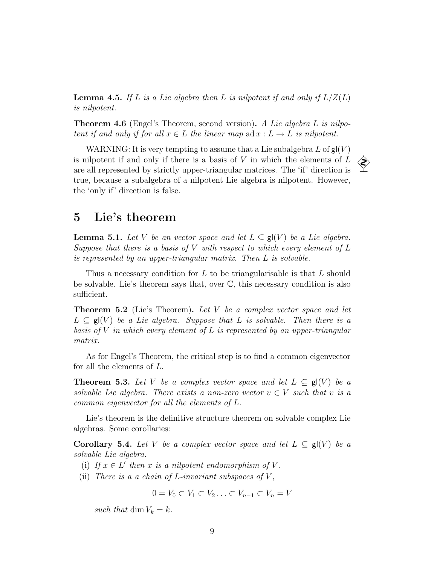**Lemma 4.5.** If L is a Lie algebra then L is nilpotent if and only if  $L/Z(L)$ is nilpotent.

**Theorem 4.6** (Engel's Theorem, second version). A Lie algebra L is nilpotent if and only if for all  $x \in L$  the linear map ad  $x : L \to L$  is nilpotent.

WARNING: It is very tempting to assume that a Lie subalgebra L of  $gl(V)$ is nilpotent if and only if there is a basis of  $V$  in which the elements of  $L$ are all represented by strictly upper-triangular matrices. The 'if' direction is true, because a subalgebra of a nilpotent Lie algebra is nilpotent. However, the 'only if' direction is false.

## 5 Lie's theorem

**Lemma 5.1.** Let V be an vector space and let  $L \subseteq \mathsf{gl}(V)$  be a Lie algebra. Suppose that there is a basis of  $V$  with respect to which every element of  $L$ is represented by an upper-triangular matrix. Then L is solvable.

Thus a necessary condition for  $L$  to be triangularisable is that  $L$  should be solvable. Lie's theorem says that, over C, this necessary condition is also sufficient.

**Theorem 5.2** (Lie's Theorem). Let V be a complex vector space and let  $L \subseteq \mathsf{gl}(V)$  be a Lie algebra. Suppose that L is solvable. Then there is a basis of V in which every element of L is represented by an upper-triangular matrix.

As for Engel's Theorem, the critical step is to find a common eigenvector for all the elements of L.

**Theorem 5.3.** Let V be a complex vector space and let  $L \subseteq \mathsf{gl}(V)$  be a solvable Lie algebra. There exists a non-zero vector  $v \in V$  such that v is a common eigenvector for all the elements of L.

Lie's theorem is the definitive structure theorem on solvable complex Lie algebras. Some corollaries:

**Corollary 5.4.** Let V be a complex vector space and let  $L \subseteq \mathsf{gl}(V)$  be a solvable Lie algebra.

- (i) If  $x \in L'$  then x is a nilpotent endomorphism of V.
- (ii) There is a a chain of L-invariant subspaces of  $V$ ,

 $0 = V_0 \subset V_1 \subset V_2 \ldots \subset V_{n-1} \subset V_n = V$ 

such that dim  $V_k = k$ .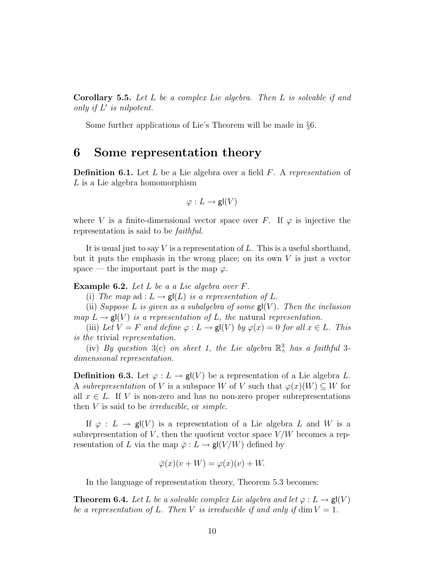Corollary 5.5. Let L be a complex Lie algebra. Then L is solvable if and only if  $L'$  is nilpotent.

Some further applications of Lie's Theorem will be made in §6.

## 6 Some representation theory

**Definition 6.1.** Let L be a Lie algebra over a field  $F$ . A representation of L is a Lie algebra homomorphism

$$
\varphi:L\to {\sf gl}(V)
$$

where V is a finite-dimensional vector space over F. If  $\varphi$  is injective the representation is said to be faithful.

It is usual just to say  $V$  is a representation of  $L$ . This is a useful shorthand, but it puts the emphasis in the wrong place; on its own  $V$  is just a vector space — the important part is the map  $\varphi$ .

Example 6.2. Let L be a a Lie algebra over F.

(i) The map ad :  $L \to \mathbf{gl}(L)$  is a representation of L.

(ii) Suppose L is given as a subalgebra of some  $\mathsf{gl}(V)$ . Then the inclusion map  $L \to \mathbf{gl}(V)$  is a representation of L, the natural representation.

(iii) Let  $V = F$  and define  $\varphi : L \to \mathsf{gl}(V)$  by  $\varphi(x) = 0$  for all  $x \in L$ . This is the trivial representation.

(iv) By question 3(c) on sheet 1, the Lie algebra  $\mathbb{R}^3_\wedge$  has a faithful 3dimensional representation.

**Definition 6.3.** Let  $\varphi: L \to \mathsf{gl}(V)$  be a representation of a Lie algebra L. A subrepresentation of V is a subspace W of V such that  $\varphi(x)(W) \subseteq W$  for all  $x \in L$ . If V is non-zero and has no non-zero proper subrepresentations then  $V$  is said to be *irreducible*, or *simple*.

If  $\varphi: L \to \mathsf{gl}(V)$  is a representation of a Lie algebra L and W is a subrepresentation of V, then the quotient vector space  $V/W$  becomes a representation of L via the map  $\overline{\varphi}: L \to \mathsf{gl}(V/W)$  defined by

$$
\overline{\varphi}(x)(v+W) = \varphi(x)(v) + W.
$$

In the language of representation theory, Theorem 5.3 becomes:

**Theorem 6.4.** Let L be a solvable complex Lie algebra and let  $\varphi: L \to \mathsf{gl}(V)$ be a representation of L. Then V is irreducible if and only if  $\dim V = 1$ .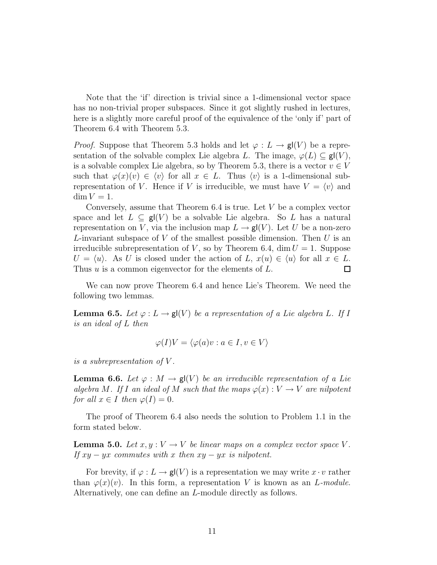Note that the 'if' direction is trivial since a 1-dimensional vector space has no non-trivial proper subspaces. Since it got slightly rushed in lectures, here is a slightly more careful proof of the equivalence of the 'only if' part of Theorem 6.4 with Theorem 5.3.

*Proof.* Suppose that Theorem 5.3 holds and let  $\varphi: L \to \mathsf{gl}(V)$  be a representation of the solvable complex Lie algebra L. The image,  $\varphi(L) \subseteq \mathsf{gl}(V)$ , is a solvable complex Lie algebra, so by Theorem 5.3, there is a vector  $v \in V$ such that  $\varphi(x)(v) \in \langle v \rangle$  for all  $x \in L$ . Thus  $\langle v \rangle$  is a 1-dimensional subrepresentation of V. Hence if V is irreducible, we must have  $V = \langle v \rangle$  and  $\dim V = 1$ .

Conversely, assume that Theorem  $6.4$  is true. Let  $V$  be a complex vector space and let  $L \subseteq gl(V)$  be a solvable Lie algebra. So L has a natural representation on V, via the inclusion map  $L \to gl(V)$ . Let U be a non-zero L-invariant subspace of V of the smallest possible dimension. Then U is an irreducible subrepresentation of V, so by Theorem 6.4, dim  $U = 1$ . Suppose  $U = \langle u \rangle$ . As U is closed under the action of L,  $x(u) \in \langle u \rangle$  for all  $x \in L$ . Thus u is a common eigenvector for the elements of L.  $\Box$ 

We can now prove Theorem 6.4 and hence Lie's Theorem. We need the following two lemmas.

**Lemma 6.5.** Let  $\varphi: L \to \mathsf{gl}(V)$  be a representation of a Lie algebra L. If I is an ideal of L then

$$
\varphi(I)V = \langle \varphi(a)v : a \in I, v \in V \rangle
$$

is a subrepresentation of V .

**Lemma 6.6.** Let  $\varphi : M \to \mathsf{gl}(V)$  be an irreducible representation of a Lie algebra M. If I an ideal of M such that the maps  $\varphi(x): V \to V$  are nilpotent for all  $x \in I$  then  $\varphi(I) = 0$ .

The proof of Theorem 6.4 also needs the solution to Problem 1.1 in the form stated below.

**Lemma 5.0.** Let  $x, y : V \to V$  be linear maps on a complex vector space V. If  $xy - yx$  commutes with x then  $xy - yx$  is nilpotent.

For brevity, if  $\varphi: L \to \mathsf{gl}(V)$  is a representation we may write  $x \cdot v$  rather than  $\varphi(x)(v)$ . In this form, a representation V is known as an L-module. Alternatively, one can define an L-module directly as follows.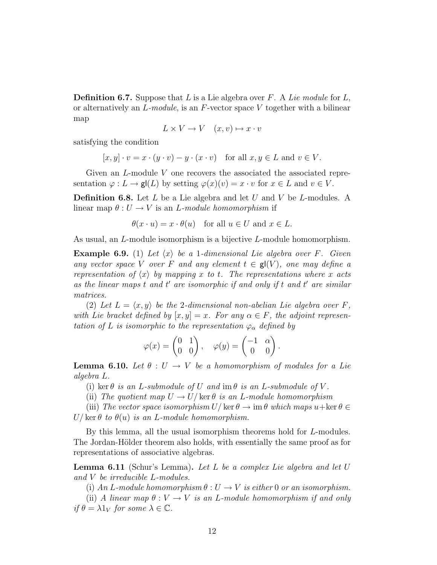**Definition 6.7.** Suppose that L is a Lie algebra over F. A Lie module for L, or alternatively an  $L$ -module, is an  $F$ -vector space V together with a bilinear map

$$
L \times V \to V \quad (x, v) \mapsto x \cdot v
$$

satisfying the condition

$$
[x, y] \cdot v = x \cdot (y \cdot v) - y \cdot (x \cdot v)
$$
 for all  $x, y \in L$  and  $v \in V$ .

Given an L-module V one recovers the associated the associated representation  $\varphi: L \to \mathsf{gl}(L)$  by setting  $\varphi(x)(v) = x \cdot v$  for  $x \in L$  and  $v \in V$ .

**Definition 6.8.** Let  $L$  be a Lie algebra and let  $U$  and  $V$  be  $L$ -modules. A linear map  $\theta: U \to V$  is an *L*-module homomorphism if

$$
\theta(x \cdot u) = x \cdot \theta(u)
$$
 for all  $u \in U$  and  $x \in L$ .

As usual, an L-module isomorphism is a bijective L-module homomorphism.

**Example 6.9.** (1) Let  $\langle x \rangle$  be a 1-dimensional Lie algebra over F. Given any vector space V over F and any element  $t \in \mathsf{gl}(V)$ , one may define a representation of  $\langle x \rangle$  by mapping x to t. The representations where x acts as the linear maps  $t$  and  $t'$  are isomorphic if and only if  $t$  and  $t'$  are similar matrices.

(2) Let  $L = \langle x, y \rangle$  be the 2-dimensional non-abelian Lie algebra over F, with Lie bracket defined by  $[x, y] = x$ . For any  $\alpha \in F$ , the adjoint representation of L is isomorphic to the representation  $\varphi_{\alpha}$  defined by

$$
\varphi(x) = \begin{pmatrix} 0 & 1 \\ 0 & 0 \end{pmatrix}, \quad \varphi(y) = \begin{pmatrix} -1 & \alpha \\ 0 & 0 \end{pmatrix}.
$$

**Lemma 6.10.** Let  $\theta: U \to V$  be a homomorphism of modules for a Lie algebra L.

(i) ker  $\theta$  is an L-submodule of U and im  $\theta$  is an L-submodule of V.

(ii) The quotient map  $U \to U/\ker \theta$  is an L-module homomorphism

(iii) The vector space isomorphism  $U/\ker\theta \to \mathrm{im}\,\theta$  which maps  $u+\ker\theta \in$  $U/\ker\theta$  to  $\theta(u)$  is an L-module homomorphism.

By this lemma, all the usual isomorphism theorems hold for L-modules. The Jordan-Hölder theorem also holds, with essentially the same proof as for representations of associative algebras.

**Lemma 6.11** (Schur's Lemma). Let L be a complex Lie algebra and let  $U$ and V be irreducible L-modules.

(i) An L-module homomorphism  $\theta : U \to V$  is either 0 or an isomorphism.

(ii) A linear map  $\theta : V \to V$  is an L-module homomorphism if and only if  $\theta = \lambda 1_V$  for some  $\lambda \in \mathbb{C}$ .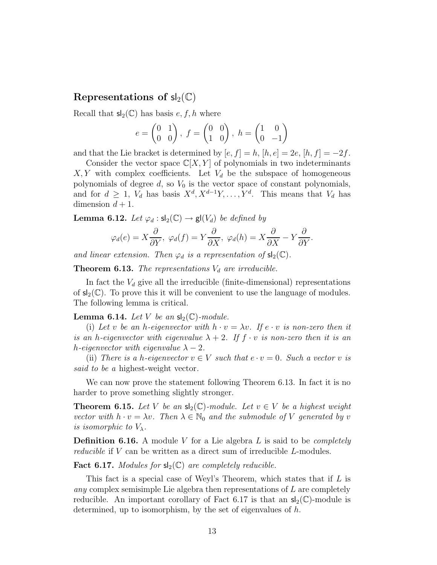### Representations of  $sl_2(\mathbb{C})$

Recall that  $\mathsf{sl}_2(\mathbb{C})$  has basis  $e, f, h$  where

$$
e = \begin{pmatrix} 0 & 1 \\ 0 & 0 \end{pmatrix}, f = \begin{pmatrix} 0 & 0 \\ 1 & 0 \end{pmatrix}, h = \begin{pmatrix} 1 & 0 \\ 0 & -1 \end{pmatrix}
$$

and that the Lie bracket is determined by  $[e, f] = h$ ,  $[h, e] = 2e$ ,  $[h, f] = -2f$ .

Consider the vector space  $\mathbb{C}[X, Y]$  of polynomials in two indeterminants  $X, Y$  with complex coefficients. Let  $V_d$  be the subspace of homogeneous polynomials of degree  $d$ , so  $V_0$  is the vector space of constant polynomials, and for  $d \geq 1$ ,  $V_d$  has basis  $X^d, X^{d-1}Y, \ldots, Y^d$ . This means that  $V_d$  has dimension  $d+1$ .

**Lemma 6.12.** Let  $\varphi_d : \mathsf{sl}_2(\mathbb{C}) \to \mathsf{gl}(V_d)$  be defined by

$$
\varphi_d(e) = X \frac{\partial}{\partial Y}, \ \varphi_d(f) = Y \frac{\partial}{\partial X}, \ \varphi_d(h) = X \frac{\partial}{\partial X} - Y \frac{\partial}{\partial Y}.
$$

and linear extension. Then  $\varphi_d$  is a representation of  $sl_2(\mathbb{C})$ .

**Theorem 6.13.** The representations  $V_d$  are irreducible.

In fact the  $V_d$  give all the irreducible (finite-dimensional) representations of  $s_2(\mathbb{C})$ . To prove this it will be convenient to use the language of modules. The following lemma is critical.

#### **Lemma 6.14.** Let V be an  $\mathsf{sl}_2(\mathbb{C})$ -module.

(i) Let v be an h-eigenvector with  $h \cdot v = \lambda v$ . If  $e \cdot v$  is non-zero then it is an h-eigenvector with eigenvalue  $\lambda + 2$ . If  $f \cdot v$  is non-zero then it is an h-eigenvector with eigenvalue  $\lambda - 2$ .

(ii) There is a h-eigenvector  $v \in V$  such that  $e \cdot v = 0$ . Such a vector v is said to be a highest-weight vector.

We can now prove the statement following Theorem 6.13. In fact it is no harder to prove something slightly stronger.

**Theorem 6.15.** Let V be an  $\mathsf{sl}_2(\mathbb{C})$ -module. Let  $v \in V$  be a highest weight vector with  $h \cdot v = \lambda v$ . Then  $\lambda \in \mathbb{N}_0$  and the submodule of V generated by v is isomorphic to  $V_{\lambda}$ .

**Definition 6.16.** A module V for a Lie algebra L is said to be *completely* reducible if V can be written as a direct sum of irreducible L-modules.

**Fact 6.17.** Modules for  $sl_2(\mathbb{C})$  are completely reducible.

This fact is a special case of Weyl's Theorem, which states that if  $L$  is any complex semisimple Lie algebra then representations of L are completely reducible. An important corollary of Fact 6.17 is that an  $sl_2(\mathbb{C})$ -module is determined, up to isomorphism, by the set of eigenvalues of  $h$ .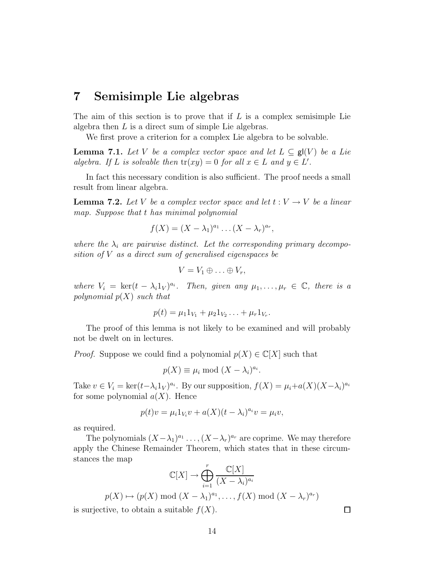## 7 Semisimple Lie algebras

The aim of this section is to prove that if  $L$  is a complex semisimple Lie algebra then  $L$  is a direct sum of simple Lie algebras.

We first prove a criterion for a complex Lie algebra to be solvable.

**Lemma 7.1.** Let V be a complex vector space and let  $L \subseteq g(V)$  be a Lie algebra. If L is solvable then  $tr(xy) = 0$  for all  $x \in L$  and  $y \in L'$ .

In fact this necessary condition is also sufficient. The proof needs a small result from linear algebra.

**Lemma 7.2.** Let V be a complex vector space and let  $t: V \to V$  be a linear map. Suppose that t has minimal polynomial

$$
f(X) = (X - \lambda_1)^{a_1} \dots (X - \lambda_r)^{a_r},
$$

where the  $\lambda_i$  are pairwise distinct. Let the corresponding primary decomposition of V as a direct sum of generalised eigenspaces be

$$
V=V_1\oplus\ldots\oplus V_r,
$$

where  $V_i = \text{ker}(t - \lambda_i 1_V)^{a_i}$ . Then, given any  $\mu_1, \ldots, \mu_r \in \mathbb{C}$ , there is a polynomial  $p(X)$  such that

$$
p(t) = \mu_1 1_{V_1} + \mu_2 1_{V_2} \ldots + \mu_r 1_{V_r}.
$$

The proof of this lemma is not likely to be examined and will probably not be dwelt on in lectures.

*Proof.* Suppose we could find a polynomial  $p(X) \in \mathbb{C}[X]$  such that

$$
p(X) \equiv \mu_i \bmod (X - \lambda_i)^{a_i}.
$$

Take  $v \in V_i = \ker(t - \lambda_i 1_V)^{a_i}$ . By our supposition,  $f(X) = \mu_i + a(X)(X - \lambda_i)^{a_i}$ for some polynomial  $a(X)$ . Hence

$$
p(t)v = \mu_i 1_{V_i} v + a(X)(t - \lambda_i)^{a_i} v = \mu_i v,
$$

as required.

The polynomials  $(X - \lambda_1)^{a_1} \dots (X - \lambda_r)^{a_r}$  are coprime. We may therefore apply the Chinese Remainder Theorem, which states that in these circumstances the map

$$
\mathbb{C}[X] \to \bigoplus_{i=1}^r \frac{\mathbb{C}[X]}{(X - \lambda_i)^{a_i}}
$$
  

$$
p(X) \mapsto (p(X) \mod (X - \lambda_1)^{a_1}, \dots, f(X) \mod (X - \lambda_r)^{a_r})
$$

is surjective, to obtain a suitable  $f(X)$ .

 $\Box$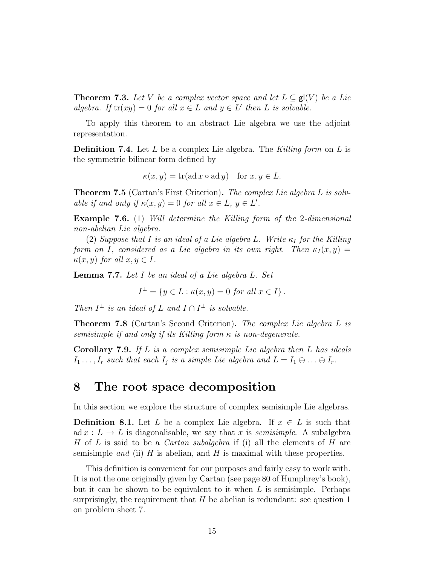**Theorem 7.3.** Let V be a complex vector space and let  $L \subseteq \mathsf{gl}(V)$  be a Lie algebra. If  $tr(xy) = 0$  for all  $x \in L$  and  $y \in L'$  then L is solvable.

To apply this theorem to an abstract Lie algebra we use the adjoint representation.

**Definition 7.4.** Let L be a complex Lie algebra. The Killing form on L is the symmetric bilinear form defined by

$$
\kappa(x, y) = \text{tr}(\text{ad } x \circ \text{ad } y) \quad \text{for } x, y \in L.
$$

**Theorem 7.5** (Cartan's First Criterion). The complex Lie algebra L is solvable if and only if  $\kappa(x, y) = 0$  for all  $x \in L$ ,  $y \in L'$ .

**Example 7.6.** (1) Will determine the Killing form of the 2-dimensional non-abelian Lie algebra.

(2) Suppose that I is an ideal of a Lie algebra L. Write  $\kappa_I$  for the Killing form on I, considered as a Lie algebra in its own right. Then  $\kappa_I(x,y) =$  $\kappa(x, y)$  for all  $x, y \in I$ .

Lemma 7.7. Let I be an ideal of a Lie algebra L. Set

$$
I^{\perp} = \{ y \in L : \kappa(x, y) = 0 \text{ for all } x \in I \}.
$$

Then  $I^{\perp}$  is an ideal of L and  $I \cap I^{\perp}$  is solvable.

**Theorem 7.8** (Cartan's Second Criterion). The complex Lie algebra L is semisimple if and only if its Killing form  $\kappa$  is non-degenerate.

**Corollary 7.9.** If L is a complex semisimple Lie algebra then L has ideals  $I_1 \ldots, I_r$  such that each  $I_j$  is a simple Lie algebra and  $L = I_1 \oplus \ldots \oplus I_r$ .

## 8 The root space decomposition

In this section we explore the structure of complex semisimple Lie algebras.

**Definition 8.1.** Let L be a complex Lie algebra. If  $x \in L$  is such that ad  $x : L \to L$  is diagonalisable, we say that x is *semisimple*. A subalgebra H of L is said to be a *Cartan subalgebra* if (i) all the elements of H are semisimple and (ii) H is abelian, and H is maximal with these properties.

This definition is convenient for our purposes and fairly easy to work with. It is not the one originally given by Cartan (see page 80 of Humphrey's book), but it can be shown to be equivalent to it when  $L$  is semisimple. Perhaps surprisingly, the requirement that  $H$  be abelian is redundant: see question 1 on problem sheet 7.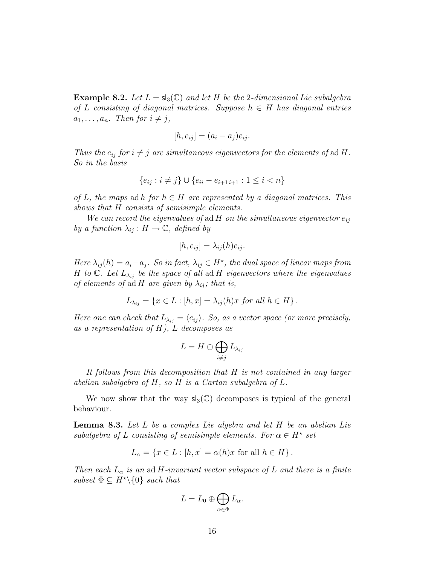**Example 8.2.** Let  $L = s<sub>3</sub>(\mathbb{C})$  and let H be the 2-dimensional Lie subalgebra of L consisting of diagonal matrices. Suppose  $h \in H$  has diagonal entries  $a_1, \ldots, a_n$ . Then for  $i \neq j$ ,

$$
[h, e_{ij}] = (a_i - a_j)e_{ij}.
$$

Thus the  $e_{ij}$  for  $i \neq j$  are simultaneous eigenvectors for the elements of ad H. So in the basis

$$
\{e_{ij} : i \neq j\} \cup \{e_{ii} - e_{i+1,i+1} : 1 \leq i < n\}
$$

of L, the maps ad h for  $h \in H$  are represented by a diagonal matrices. This shows that H consists of semisimple elements.

We can record the eigenvalues of ad H on the simultaneous eigenvector  $e_{ij}$ by a function  $\lambda_{ij}: H \to \mathbb{C}$ , defined by

$$
[h, e_{ij}] = \lambda_{ij}(h)e_{ij}.
$$

Here  $\lambda_{ij}(h) = a_i - a_j$ . So in fact,  $\lambda_{ij} \in H^*$ , the dual space of linear maps from H to C. Let  $L_{\lambda_{ij}}$  be the space of all ad H eigenvectors where the eigenvalues of elements of ad H are given by  $\lambda_{ij}$ ; that is,

$$
L_{\lambda_{ij}} = \{ x \in L : [h, x] = \lambda_{ij}(h)x \text{ for all } h \in H \}.
$$

Here one can check that  $L_{\lambda_{ij}} = \langle e_{ij} \rangle$ . So, as a vector space (or more precisely, as a representation of  $H$ ),  $L$  decomposes as

$$
L=H\oplus\bigoplus_{i\neq j}L_{\lambda_{ij}}
$$

It follows from this decomposition that H is not contained in any larger abelian subalgebra of H, so H is a Cartan subalgebra of L.

We now show that the way  $sl_3(\mathbb{C})$  decomposes is typical of the general behaviour.

**Lemma 8.3.** Let  $L$  be a complex Lie algebra and let  $H$  be an abelian Lie subalgebra of L consisting of semisimple elements. For  $\alpha \in H^*$  set

$$
L_{\alpha} = \{ x \in L : [h, x] = \alpha(h)x \text{ for all } h \in H \}.
$$

Then each  $L_{\alpha}$  is an ad H-invariant vector subspace of L and there is a finite subset  $\Phi \subseteq H^* \backslash \{0\}$  such that

$$
L=L_0\oplus\bigoplus_{\alpha\in\Phi}L_\alpha.
$$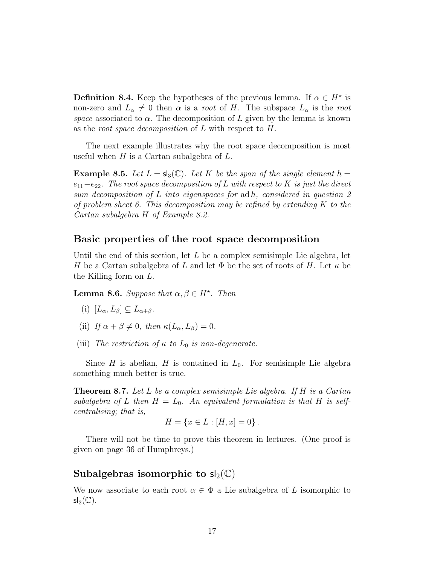**Definition 8.4.** Keep the hypotheses of the previous lemma. If  $\alpha \in H^*$  is non-zero and  $L_{\alpha} \neq 0$  then  $\alpha$  is a *root* of H. The subspace  $L_{\alpha}$  is the root space associated to  $\alpha$ . The decomposition of L given by the lemma is known as the root space decomposition of L with respect to H.

The next example illustrates why the root space decomposition is most useful when  $H$  is a Cartan subalgebra of  $L$ .

**Example 8.5.** Let  $L = sl_3(\mathbb{C})$ . Let K be the span of the single element  $h =$  $e_{11}-e_{22}$ . The root space decomposition of L with respect to K is just the direct sum decomposition of L into eigenspaces for ad h, considered in question 2 of problem sheet 6. This decomposition may be refined by extending  $K$  to the Cartan subalgebra H of Example 8.2.

#### Basic properties of the root space decomposition

Until the end of this section, let  $L$  be a complex semisimple Lie algebra, let H be a Cartan subalgebra of L and let  $\Phi$  be the set of roots of H. Let  $\kappa$  be the Killing form on L.

**Lemma 8.6.** Suppose that  $\alpha, \beta \in H^*$ . Then

- (i)  $[L_{\alpha}, L_{\beta}] \subseteq L_{\alpha+\beta}$ .
- (ii) If  $\alpha + \beta \neq 0$ , then  $\kappa(L_\alpha, L_\beta) = 0$ .
- (iii) The restriction of  $\kappa$  to  $L_0$  is non-degenerate.

Since H is abelian, H is contained in  $L_0$ . For semisimple Lie algebra something much better is true.

**Theorem 8.7.** Let L be a complex semisimple Lie algebra. If H is a Cartan subalgebra of L then  $H = L_0$ . An equivalent formulation is that H is selfcentralising; that is,

$$
H = \{ x \in L : [H, x] = 0 \}.
$$

There will not be time to prove this theorem in lectures. (One proof is given on page 36 of Humphreys.)

#### Subalgebras isomorphic to  $sl_2(\mathbb{C})$

We now associate to each root  $\alpha \in \Phi$  a Lie subalgebra of L isomorphic to  $sl_2(\mathbb{C})$ .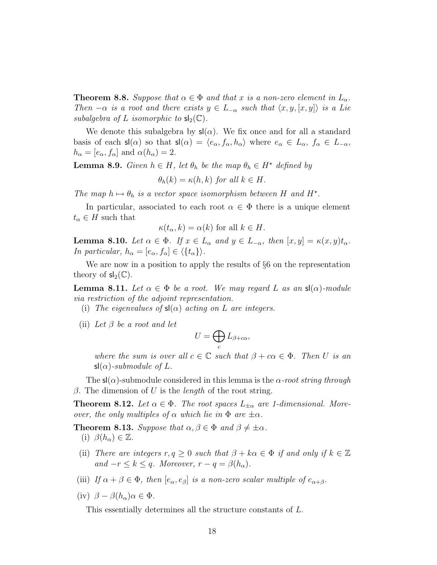**Theorem 8.8.** Suppose that  $\alpha \in \Phi$  and that x is a non-zero element in  $L_{\alpha}$ . Then  $-\alpha$  is a root and there exists  $y \in L_{-\alpha}$  such that  $\langle x, y, [x, y] \rangle$  is a Lie subalgebra of L isomorphic to  $sl_2(\mathbb{C})$ .

We denote this subalgebra by  $sl(\alpha)$ . We fix once and for all a standard basis of each  $\mathsf{sl}(\alpha)$  so that  $\mathsf{sl}(\alpha) = \langle e_\alpha, f_\alpha, h_\alpha \rangle$  where  $e_\alpha \in L_\alpha, f_\alpha \in L_{-\alpha}$ ,  $h_{\alpha} = [e_{\alpha}, f_{\alpha}]$  and  $\alpha(h_{\alpha}) = 2$ .

**Lemma 8.9.** Given  $h \in H$ , let  $\theta_h$  be the map  $\theta_h \in H^*$  defined by

 $\theta_h(k) = \kappa(h,k)$  for all  $k \in H$ .

The map  $h \mapsto \theta_h$  is a vector space isomorphism between H and  $H^*$ .

In particular, associated to each root  $\alpha \in \Phi$  there is a unique element  $t_{\alpha} \in H$  such that

 $\kappa(t_{\alpha}, k) = \alpha(k)$  for all  $k \in H$ .

**Lemma 8.10.** Let  $\alpha \in \Phi$ . If  $x \in L_{\alpha}$  and  $y \in L_{-\alpha}$ , then  $[x, y] = \kappa(x, y)t_{\alpha}$ . In particular,  $h_{\alpha} = [e_{\alpha}, f_{\alpha}] \in \langle \{t_{\alpha}\}\rangle.$ 

We are now in a position to apply the results of  $\S6$  on the representation theory of  $sl_2(\mathbb{C})$ .

**Lemma 8.11.** Let  $\alpha \in \Phi$  be a root. We may regard L as an  $\mathsf{s}(\alpha)$ -module via restriction of the adjoint representation.

- (i) The eigenvalues of  $sl(\alpha)$  acting on L are integers.
- (ii) Let  $\beta$  be a root and let

$$
U=\bigoplus_c L_{\beta+c\alpha},
$$

where the sum is over all  $c \in \mathbb{C}$  such that  $\beta + c\alpha \in \Phi$ . Then U is an  $\mathsf{sl}(\alpha)$ -submodule of L.

The  $\mathsf{sl}(\alpha)$ -submodule considered in this lemma is the  $\alpha$ -root string through β. The dimension of U is the *length* of the root string.

**Theorem 8.12.** Let  $\alpha \in \Phi$ . The root spaces  $L_{\pm \alpha}$  are 1-dimensional. Moreover, the only multiples of  $\alpha$  which lie in  $\Phi$  are  $\pm \alpha$ .

**Theorem 8.13.** Suppose that  $\alpha, \beta \in \Phi$  and  $\beta \neq \pm \alpha$ . (i)  $\beta(h_{\alpha}) \in \mathbb{Z}$ .

- (ii) There are integers  $r, q \geq 0$  such that  $\beta + k\alpha \in \Phi$  if and only if  $k \in \mathbb{Z}$ and  $-r \leq k \leq q$ . Moreover,  $r - q = \beta(h_{\alpha})$ .
- (iii) If  $\alpha + \beta \in \Phi$ , then  $[e_{\alpha}, e_{\beta}]$  is a non-zero scalar multiple of  $e_{\alpha+\beta}$ .
- (iv)  $\beta \beta(h_\alpha)\alpha \in \Phi$ .

This essentially determines all the structure constants of L.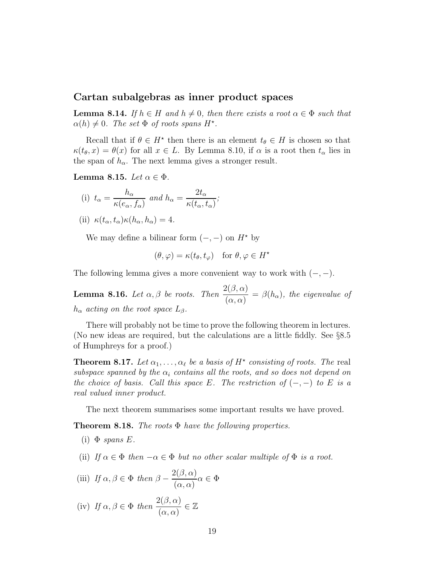#### Cartan subalgebras as inner product spaces

**Lemma 8.14.** If  $h \in H$  and  $h \neq 0$ , then there exists a root  $\alpha \in \Phi$  such that  $\alpha(h) \neq 0$ . The set  $\Phi$  of roots spans  $H^*$ .

Recall that if  $\theta \in H^*$  then there is an element  $t_{\theta} \in H$  is chosen so that  $\kappa(t_{\theta}, x) = \theta(x)$  for all  $x \in L$ . By Lemma 8.10, if  $\alpha$  is a root then  $t_{\alpha}$  lies in the span of  $h_{\alpha}$ . The next lemma gives a stronger result.

Lemma 8.15. Let  $\alpha \in \Phi$ .

(i) 
$$
t_{\alpha} = \frac{h_{\alpha}}{\kappa(e_{\alpha}, f_{\alpha})}
$$
 and  $h_{\alpha} = \frac{2t_{\alpha}}{\kappa(t_{\alpha}, t_{\alpha})}$ ;

(ii) 
$$
\kappa(t_{\alpha}, t_{\alpha})\kappa(h_{\alpha}, h_{\alpha}) = 4.
$$

We may define a bilinear form  $(-, -)$  on  $H^*$  by

$$
(\theta, \varphi) = \kappa(t_{\theta}, t_{\varphi}) \quad \text{for } \theta, \varphi \in H^*
$$

The following lemma gives a more convenient way to work with  $(-, -)$ .

**Lemma 8.16.** Let  $\alpha, \beta$  be roots. Then  $\frac{2(\beta, \alpha)}{\alpha}$  $\frac{\partial(\beta, \alpha)}{\partial(\alpha, \alpha)} = \beta(h_{\alpha}),$  the eigenvalue of  $h_{\alpha}$  acting on the root space  $L_{\beta}$ .

There will probably not be time to prove the following theorem in lectures. (No new ideas are required, but the calculations are a little fiddly. See §8.5 of Humphreys for a proof.)

**Theorem 8.17.** Let  $\alpha_1, \ldots, \alpha_\ell$  be a basis of  $H^*$  consisting of roots. The real subspace spanned by the  $\alpha_i$  contains all the roots, and so does not depend on the choice of basis. Call this space E. The restriction of  $(-,-)$  to E is a real valued inner product.

The next theorem summarises some important results we have proved.

**Theorem 8.18.** The roots  $\Phi$  have the following properties.

- (i)  $\Phi$  spans E.
- (ii) If  $\alpha \in \Phi$  then  $-\alpha \in \Phi$  but no other scalar multiple of  $\Phi$  is a root.

(iii) If 
$$
\alpha, \beta \in \Phi
$$
 then  $\beta - \frac{2(\beta, \alpha)}{(\alpha, \alpha)}\alpha \in \Phi$ 

(iv) If 
$$
\alpha, \beta \in \Phi
$$
 then  $\frac{2(\beta, \alpha)}{(\alpha, \alpha)} \in \mathbb{Z}$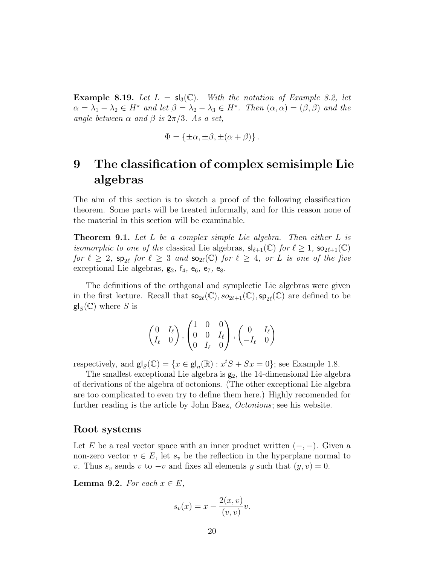**Example 8.19.** Let  $L = sl_3(\mathbb{C})$ . With the notation of Example 8.2, let  $\alpha = \lambda_1 - \lambda_2 \in H^*$  and let  $\beta = \lambda_2 - \lambda_3 \in H^*$ . Then  $(\alpha, \alpha) = (\beta, \beta)$  and the angle between  $\alpha$  and  $\beta$  is  $2\pi/3$ . As a set,

$$
\Phi = \{\pm \alpha, \pm \beta, \pm (\alpha + \beta)\}.
$$

# 9 The classification of complex semisimple Lie algebras

The aim of this section is to sketch a proof of the following classification theorem. Some parts will be treated informally, and for this reason none of the material in this section will be examinable.

**Theorem 9.1.** Let L be a complex simple Lie algebra. Then either L is *isomorphic to one of the classical Lie algebras,*  $sl_{\ell+1}(\mathbb{C})$  *for*  $\ell \geq 1$ ,  $so_{2\ell+1}(\mathbb{C})$ for  $\ell \geq 2$ ,  $sp_{2\ell}$  for  $\ell \geq 3$  and  $so_{2\ell}(\mathbb{C})$  for  $\ell \geq 4$ , or L is one of the five exceptional Lie algebras,  $g_2$ ,  $f_4$ ,  $e_6$ ,  $e_7$ ,  $e_8$ .

The definitions of the orthgonal and symplectic Lie algebras were given in the first lecture. Recall that  $so_{2\ell}(\mathbb{C}), so_{2\ell+1}(\mathbb{C}), sp_{2\ell}(\mathbb{C})$  are defined to be  $\mathsf{gl}_S(\mathbb{C})$  where S is

$$
\begin{pmatrix} 0 & I_{\ell} \\ I_{\ell} & 0 \end{pmatrix}, \begin{pmatrix} 1 & 0 & 0 \\ 0 & 0 & I_{\ell} \\ 0 & I_{\ell} & 0 \end{pmatrix}, \begin{pmatrix} 0 & I_{\ell} \\ -I_{\ell} & 0 \end{pmatrix}
$$

respectively, and  $\mathsf{gl}_S(\mathbb{C}) = \{x \in \mathsf{gl}_n(\mathbb{R}) : x^tS + Sx = 0\}$ ; see Example 1.8.

The smallest exceptional Lie algebra is  $g_2$ , the 14-dimensional Lie algebra of derivations of the algebra of octonions. (The other exceptional Lie algebra are too complicated to even try to define them here.) Highly recomended for further reading is the article by John Baez, Octonions; see his website.

#### Root systems

Let E be a real vector space with an inner product written  $(-,-)$ . Given a non-zero vector  $v \in E$ , let  $s_v$  be the reflection in the hyperplane normal to v. Thus  $s_v$  sends v to  $-v$  and fixes all elements y such that  $(y, v) = 0$ .

**Lemma 9.2.** For each  $x \in E$ ,

$$
s_v(x) = x - \frac{2(x, v)}{(v, v)}v.
$$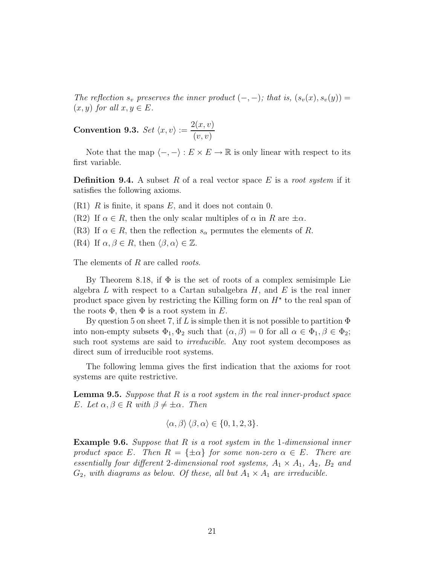The reflection  $s_v$  preserves the inner product  $(-, -)$ ; that is,  $(s_v(x), s_v(y)) =$  $(x, y)$  for all  $x, y \in E$ .

Convention 9.3. Set  $\langle x, v \rangle :=$  $2(x, v)$  $(v, v)$ 

Note that the map  $\langle -, - \rangle : E \times E \to \mathbb{R}$  is only linear with respect to its first variable.

**Definition 9.4.** A subset R of a real vector space E is a root system if it satisfies the following axioms.

 $(R1)$  R is finite, it spans E, and it does not contain 0.

(R2) If  $\alpha \in R$ , then the only scalar multiples of  $\alpha$  in R are  $\pm \alpha$ .

(R3) If  $\alpha \in R$ , then the reflection  $s_{\alpha}$  permutes the elements of R.

(R4) If  $\alpha, \beta \in R$ , then  $\langle \beta, \alpha \rangle \in \mathbb{Z}$ .

The elements of R are called *roots*.

By Theorem 8.18, if  $\Phi$  is the set of roots of a complex semisimple Lie algebra  $L$  with respect to a Cartan subalgebra  $H$ , and  $E$  is the real inner product space given by restricting the Killing form on  $H^*$  to the real span of the roots  $\Phi$ , then  $\Phi$  is a root system in E.

By question 5 on sheet 7, if L is simple then it is not possible to partition  $\Phi$ into non-empty subsets  $\Phi_1, \Phi_2$  such that  $(\alpha, \beta) = 0$  for all  $\alpha \in \Phi_1, \beta \in \Phi_2$ ; such root systems are said to *irreducible*. Any root system decomposes as direct sum of irreducible root systems.

The following lemma gives the first indication that the axioms for root systems are quite restrictive.

**Lemma 9.5.** Suppose that  $R$  is a root system in the real inner-product space E. Let  $\alpha, \beta \in R$  with  $\beta \neq \pm \alpha$ . Then

$$
\langle \alpha, \beta \rangle \langle \beta, \alpha \rangle \in \{0, 1, 2, 3\}.
$$

**Example 9.6.** Suppose that  $R$  is a root system in the 1-dimensional inner product space E. Then  $R = {\pm \alpha}$  for some non-zero  $\alpha \in E$ . There are essentially four different 2-dimensional root systems,  $A_1 \times A_1$ ,  $A_2$ ,  $B_2$  and  $G_2$ , with diagrams as below. Of these, all but  $A_1 \times A_1$  are irreducible.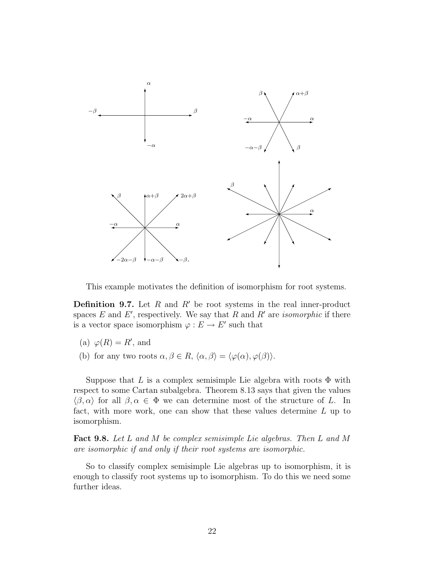

This example motivates the definition of isomorphism for root systems.

**Definition 9.7.** Let R and R' be root systems in the real inner-product spaces  $E$  and  $E'$ , respectively. We say that  $R$  and  $R'$  are *isomorphic* if there is a vector space isomorphism  $\varphi : E \to E'$  such that

- (a)  $\varphi(R) = R'$ , and
- (b) for any two roots  $\alpha, \beta \in R$ ,  $\langle \alpha, \beta \rangle = \langle \varphi(\alpha), \varphi(\beta) \rangle$ .

Suppose that L is a complex semisimple Lie algebra with roots  $\Phi$  with respect to some Cartan subalgebra. Theorem 8.13 says that given the values  $\langle \beta, \alpha \rangle$  for all  $\beta, \alpha \in \Phi$  we can determine most of the structure of L. In fact, with more work, one can show that these values determine L up to isomorphism.

Fact 9.8. Let L and M be complex semisimple Lie algebras. Then L and M are isomorphic if and only if their root systems are isomorphic.

So to classify complex semisimple Lie algebras up to isomorphism, it is enough to classify root systems up to isomorphism. To do this we need some further ideas.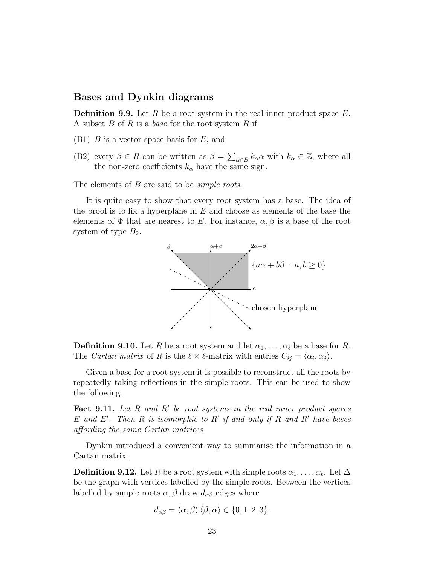#### Bases and Dynkin diagrams

**Definition 9.9.** Let R be a root system in the real inner product space  $E$ . A subset  $B$  of  $R$  is a *base* for the root system  $R$  if

- $(B1)$  B is a vector space basis for E, and
- (B2) every  $\beta \in R$  can be written as  $\beta = \sum_{\alpha \in B} k_{\alpha} \alpha$  with  $k_{\alpha} \in \mathbb{Z}$ , where all the non-zero coefficients  $k_{\alpha}$  have the same sign.

The elements of B are said to be *simple roots*.

It is quite easy to show that every root system has a base. The idea of the proof is to fix a hyperplane in  $E$  and choose as elements of the base the elements of  $\Phi$  that are nearest to E. For instance,  $\alpha$ ,  $\beta$  is a base of the root system of type  $B_2$ .



**Definition 9.10.** Let R be a root system and let  $\alpha_1, \ldots, \alpha_\ell$  be a base for R. The Cartan matrix of R is the  $\ell \times \ell$ -matrix with entries  $C_{ij} = \langle \alpha_i, \alpha_j \rangle$ .

Given a base for a root system it is possible to reconstruct all the roots by repeatedly taking reflections in the simple roots. This can be used to show the following.

Fact 9.11. Let  $R$  and  $R'$  be root systems in the real inner product spaces  $E$  and  $E'$ . Then  $R$  is isomorphic to  $R'$  if and only if  $R$  and  $R'$  have bases affording the same Cartan matrices

Dynkin introduced a convenient way to summarise the information in a Cartan matrix.

**Definition 9.12.** Let  $R$  be a root system with simple roots  $\alpha_1, \ldots, \alpha_\ell$ . Let  $\Delta$ be the graph with vertices labelled by the simple roots. Between the vertices labelled by simple roots  $\alpha$ ,  $\beta$  draw  $d_{\alpha\beta}$  edges where

$$
d_{\alpha\beta} = \langle \alpha, \beta \rangle \langle \beta, \alpha \rangle \in \{0, 1, 2, 3\}.
$$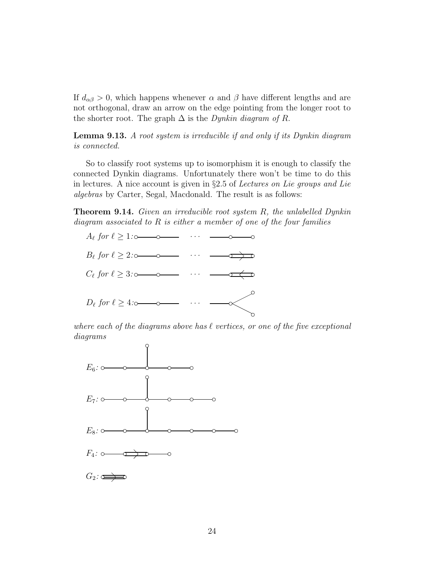If  $d_{\alpha\beta} > 0$ , which happens whenever  $\alpha$  and  $\beta$  have different lengths and are not orthogonal, draw an arrow on the edge pointing from the longer root to the shorter root. The graph  $\Delta$  is the *Dynkin diagram of R*.

Lemma 9.13. A root system is irreducible if and only if its Dynkin diagram is connected.

So to classify root systems up to isomorphism it is enough to classify the connected Dynkin diagrams. Unfortunately there won't be time to do this in lectures. A nice account is given in §2.5 of Lectures on Lie groups and Lie algebras by Carter, Segal, Macdonald. The result is as follows:

Theorem 9.14. Given an irreducible root system R, the unlabelled Dynkin diagram associated to R is either a member of one of the four families



where each of the diagrams above has  $\ell$  vertices, or one of the five exceptional diagrams